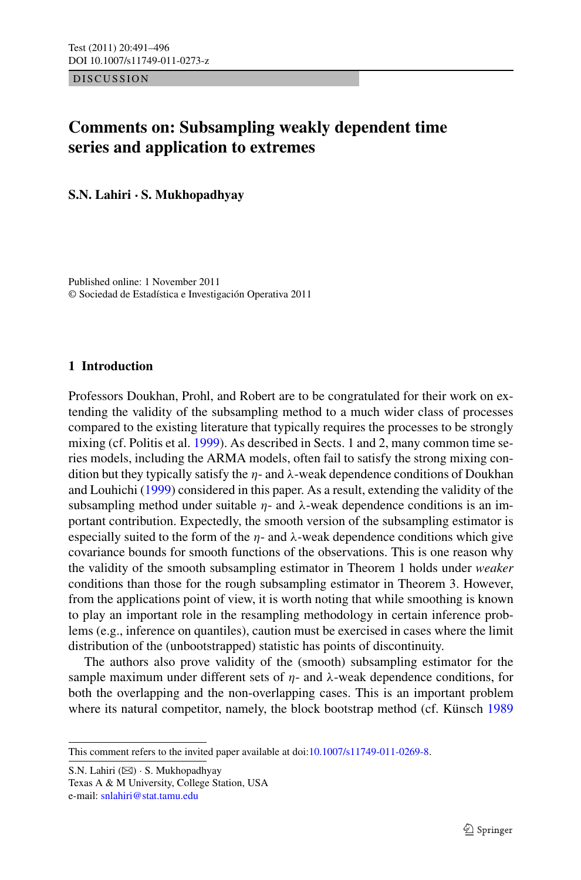DISCUSSION

# **Comments on: Subsampling weakly dependent time series and application to extremes**

**S.N. Lahiri · S. Mukhopadhyay**

Published online: 1 November 2011 © Sociedad de Estadística e Investigación Operativa 2011

# **1 Introduction**

Professors Doukhan, Prohl, and Robert are to be congratulated for their work on extending the validity of the subsampling method to a much wider class of processes compared to the existing literature that typically requires the processes to be strongly mixing (cf. Politis et al. [1999](#page-5-0)). As described in Sects. 1 and 2, many common time series models, including the ARMA models, often fail to satisfy the strong mixing condition but they typically satisfy the *η*- and *λ*-weak dependence conditions of Doukhan and Louhichi ([1999](#page-5-1)) considered in this paper. As a result, extending the validity of the subsampling method under suitable  $\eta$ - and  $\lambda$ -weak dependence conditions is an important contribution. Expectedly, the smooth version of the subsampling estimator is especially suited to the form of the  $\eta$ - and  $\lambda$ -weak dependence conditions which give covariance bounds for smooth functions of the observations. This is one reason why the validity of the smooth subsampling estimator in Theorem 1 holds under *weaker* conditions than those for the rough subsampling estimator in Theorem 3. However, from the applications point of view, it is worth noting that while smoothing is known to play an important role in the resampling methodology in certain inference problems (e.g., inference on quantiles), caution must be exercised in cases where the limit distribution of the (unbootstrapped) statistic has points of discontinuity.

The authors also prove validity of the (smooth) subsampling estimator for the sample maximum under different sets of  $\eta$ - and  $\lambda$ -weak dependence conditions, for both the overlapping and the non-overlapping cases. This is an important problem where its natural competitor, namely, the block bootstrap method (cf. Künsch [1989](#page-5-2))

S.N. Lahiri ( $\boxtimes$ ) · S. Mukhopadhyay Texas A & M University, College Station, USA e-mail: [snlahiri@stat.tamu.edu](mailto:snlahiri@stat.tamu.edu)

This comment refers to the invited paper available at doi:[10.1007/s11749-011-0269-8.](http://dx.doi.org/10.1007/s11749-011-0269-8)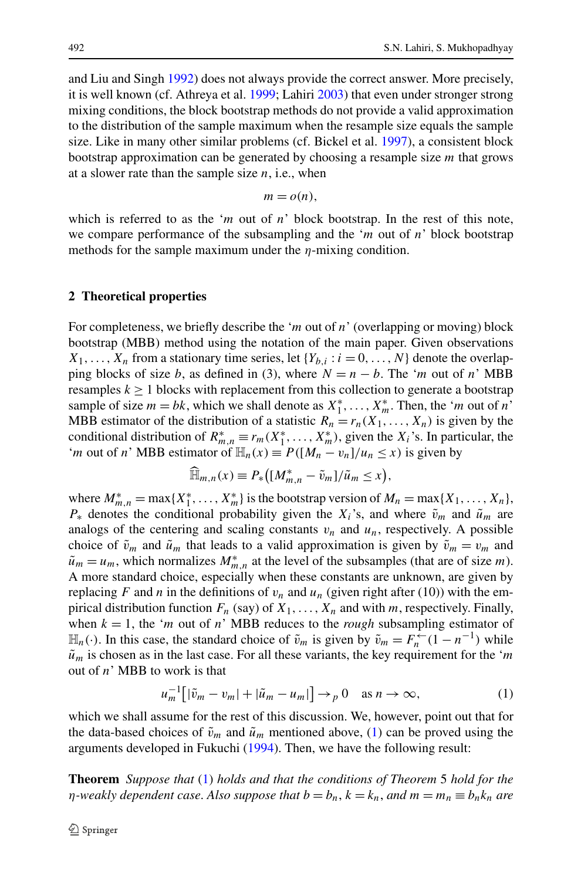and Liu and Singh [1992\)](#page-5-3) does not always provide the correct answer. More precisely, it is well known (cf. Athreya et al. [1999;](#page-5-4) Lahiri [2003](#page-5-5)) that even under stronger strong mixing conditions, the block bootstrap methods do not provide a valid approximation to the distribution of the sample maximum when the resample size equals the sample size. Like in many other similar problems (cf. Bickel et al. [1997](#page-5-6)), a consistent block bootstrap approximation can be generated by choosing a resample size *m* that grows at a slower rate than the sample size  $n$ , i.e., when

$$
m = o(n),
$$

which is referred to as the '*m* out of *n*' block bootstrap. In the rest of this note, we compare performance of the subsampling and the '*m* out of *n*' block bootstrap methods for the sample maximum under the *η*-mixing condition.

#### **2 Theoretical properties**

For completeness, we briefly describe the '*m* out of *n*' (overlapping or moving) block bootstrap (MBB) method using the notation of the main paper. Given observations  $X_1, \ldots, X_n$  from a stationary time series, let  $\{Y_{b,i} : i = 0, \ldots, N\}$  denote the overlapping blocks of size *b*, as defined in (3), where  $N = n - b$ . The '*m* out of *n*' MBB resamples  $k \geq 1$  blocks with replacement from this collection to generate a bootstrap sample of size  $m = bk$ , which we shall denote as  $X_1^*, \ldots, X_m^*$ . Then, the '*m* out of *n*' MBB estimator of the distribution of a statistic  $R_n = r_n(X_1, \ldots, X_n)$  is given by the conditional distribution of  $R_{m,n}^* \equiv r_m(X_1^*, \ldots, X_m^*)$ , given the  $X_i$ 's. In particular, the '*m* out of *n*' MBB estimator of  $\mathbb{H}_n(x) \equiv P([M_n - v_n]/u_n \leq x)$  is given by

<span id="page-1-0"></span>
$$
\widehat{\mathbb{H}}_{m,n}(x) \equiv P_*\big(\big[M_{m,n}^* - \tilde{v}_m\big]/\tilde{u}_m \leq x\big),
$$

where  $M_{m,n}^* = \max\{X_1^*,\ldots,X_m^*\}$  is the bootstrap version of  $M_n = \max\{X_1,\ldots,X_n\}$ ,  $P^*$  denotes the conditional probability given the  $X_i$ 's, and where  $\tilde{v}_m$  and  $\tilde{u}_m$  are analogs of the centering and scaling constants  $v_n$  and  $u_n$ , respectively. A possible choice of  $\tilde{v}_m$  and  $\tilde{u}_m$  that leads to a valid approximation is given by  $\tilde{v}_m = v_m$  and  $\tilde{u}_m = u_m$ , which normalizes  $M_{m,n}^*$  at the level of the subsamples (that are of size *m*). A more standard choice, especially when these constants are unknown, are given by replacing *F* and *n* in the definitions of  $v_n$  and  $u_n$  (given right after (10)) with the empirical distribution function  $F_n$  (say) of  $X_1, \ldots, X_n$  and with *m*, respectively. Finally, when  $k = 1$ , the '*m* out of *n*' MBB reduces to the *rough* subsampling estimator of  $\mathbb{H}_n(\cdot)$ . In this case, the standard choice of  $\tilde{v}_m$  is given by  $\tilde{v}_m = F_n^{\leftarrow}(1 - n^{-1})$  while  $\tilde{u}_m$  is chosen as in the last case. For all these variants, the key requirement for the '*m* out of *n*' MBB to work is that

$$
u_m^{-1}\big[|\tilde{v}_m - v_m| + |\tilde{u}_m - u_m|\big] \to_p 0 \quad \text{as } n \to \infty,
$$
 (1)

which we shall assume for the rest of this discussion. We, however, point out that for the data-based choices of  $\tilde{v}_m$  and  $\tilde{u}_m$  mentioned above, ([1\)](#page-1-0) can be proved using the arguments developed in Fukuchi [\(1994](#page-5-7)). Then, we have the following result:

**Theorem** *Suppose that* [\(1](#page-1-0)) *holds and that the conditions of Theorem* 5 *hold for the η-weakly dependent case. Also suppose that*  $b = b_n$ ,  $k = k_n$ , and  $m = m_n \equiv b_n k_n$  are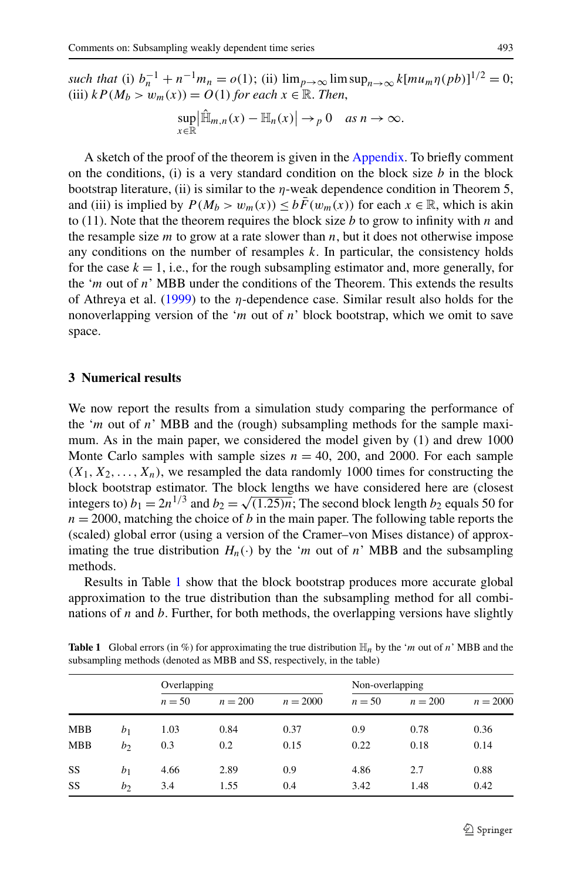*such that* (i)  $b_n^{-1} + n^{-1}m_n = o(1)$ ; (ii)  $\lim_{p \to \infty} \limsup_{n \to \infty} k[mu_m \eta(pb)]^{1/2} = 0$ ; (iii)  $k P(M_b > w_m(x)) = O(1)$  *for each*  $x \in \mathbb{R}$ *. Then,* 

$$
\sup_{x\in\mathbb{R}}\left|\widehat{\mathbb{H}}_{m,n}(x)-\mathbb{H}_n(x)\right|\to_p 0 \quad as\ n\to\infty.
$$

A sketch of the proof of the theorem is given in the [Appendix.](#page-4-0) To briefly comment on the conditions, (i) is a very standard condition on the block size *b* in the block bootstrap literature, (ii) is similar to the *η*-weak dependence condition in Theorem 5, and (iii) is implied by  $P(M_b > w_m(x)) \le b\bar{F}(w_m(x))$  for each  $x \in \mathbb{R}$ , which is akin to (11). Note that the theorem requires the block size *b* to grow to infinity with *n* and the resample size *m* to grow at a rate slower than *n*, but it does not otherwise impose any conditions on the number of resamples *k*. In particular, the consistency holds for the case  $k = 1$ , i.e., for the rough subsampling estimator and, more generally, for the '*m* out of *n*' MBB under the conditions of the Theorem. This extends the results of Athreya et al. [\(1999\)](#page-5-4) to the *η*-dependence case. Similar result also holds for the nonoverlapping version of the '*m* out of *n*' block bootstrap, which we omit to save space.

#### **3 Numerical results**

We now report the results from a simulation study comparing the performance of the '*m* out of *n*' MBB and the (rough) subsampling methods for the sample maximum. As in the main paper, we considered the model given by (1) and drew 1000 Monte Carlo samples with sample sizes  $n = 40$ , 200, and 2000. For each sample  $(X_1, X_2, \ldots, X_n)$ , we resampled the data randomly 1000 times for constructing the block bootstrap estimator. The block lengths we have considered here are (closest integers to)  $b_1 = 2n^{1/3}$  and  $b_2 = \sqrt{(1.25)n}$ ; The second block length  $b_2$  equals 50 for  $n = 2000$ , matching the choice of *b* in the main paper. The following table reports the (scaled) global error (using a version of the Cramer–von Mises distance) of approximating the true distribution  $H_n(\cdot)$  by the '*m* out of *n*' MBB and the subsampling methods.

<span id="page-2-0"></span>Results in Table [1](#page-2-0) show that the block bootstrap produces more accurate global approximation to the true distribution than the subsampling method for all combinations of *n* and *b*. Further, for both methods, the overlapping versions have slightly

|                                                                         | $\sim$ 1 $\cdot$                                                                                                           | $\mathbf{r}$ and $\mathbf{r}$ |  |  |  |  |  |  |  |  |
|-------------------------------------------------------------------------|----------------------------------------------------------------------------------------------------------------------------|-------------------------------|--|--|--|--|--|--|--|--|
| subsampling methods (denoted as MBB and SS, respectively, in the table) |                                                                                                                            |                               |  |  |  |  |  |  |  |  |
|                                                                         | <b>Table 1</b> Global errors (in %) for approximating the true distribution $\mathbb{H}_n$ by the 'm out of n' MBB and the |                               |  |  |  |  |  |  |  |  |

|            |                | Overlapping |           |            | Non-overlapping |           |            |
|------------|----------------|-------------|-----------|------------|-----------------|-----------|------------|
|            |                | $n = 50$    | $n = 200$ | $n = 2000$ | $n = 50$        | $n = 200$ | $n = 2000$ |
| <b>MBB</b> | b <sub>1</sub> | 1.03        | 0.84      | 0.37       | 0.9             | 0.78      | 0.36       |
| <b>MBB</b> | b <sub>2</sub> | 0.3         | 0.2       | 0.15       | 0.22            | 0.18      | 0.14       |
| SS         | b <sub>1</sub> | 4.66        | 2.89      | 0.9        | 4.86            | 2.7       | 0.88       |
| SS         | $b_2$          | 3.4         | 1.55      | 0.4        | 3.42            | 1.48      | 0.42       |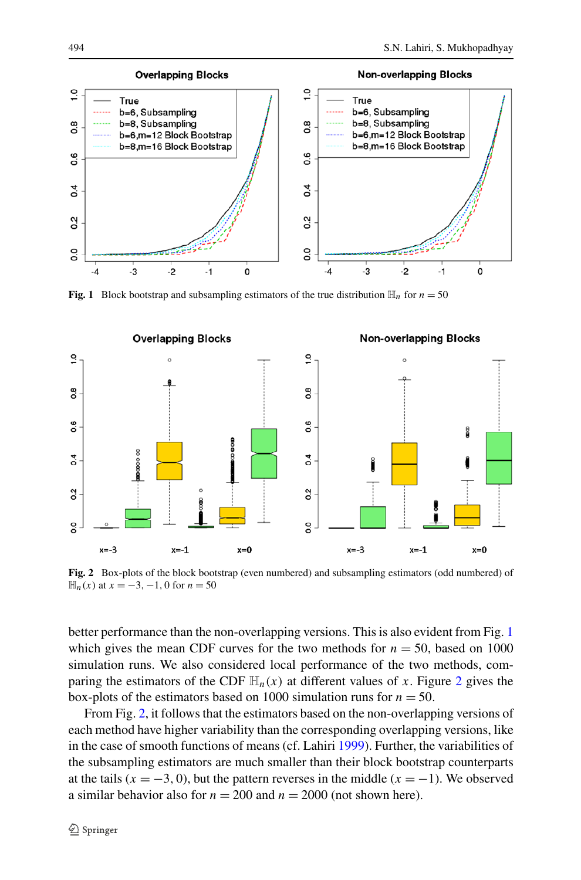<span id="page-3-0"></span>

**Fig. 1** Block bootstrap and subsampling estimators of the true distribution  $\mathbb{H}_n$  for  $n = 50$ 



<span id="page-3-1"></span>**Fig. 2** Box-plots of the block bootstrap (even numbered) and subsampling estimators (odd numbered) of  $\mathbb{H}_n(x)$  at *x* = −3, −1, 0 for *n* = 50

better performance than the non-overlapping versions. This is also evident from Fig. [1](#page-3-0) which gives the mean CDF curves for the two methods for  $n = 50$ , based on 1000 simulation runs. We also considered local performance of the two methods, comparing the estimators of the CDF  $\mathbb{H}_n(x)$  at different values of x. Figure [2](#page-3-1) gives the box-plots of the estimators based on 1000 simulation runs for  $n = 50$ .

From Fig. [2,](#page-3-1) it follows that the estimators based on the non-overlapping versions of each method have higher variability than the corresponding overlapping versions, like in the case of smooth functions of means (cf. Lahiri [1999\)](#page-5-8). Further, the variabilities of the subsampling estimators are much smaller than their block bootstrap counterparts at the tails  $(x = -3, 0)$ , but the pattern reverses in the middle  $(x = -1)$ . We observed a similar behavior also for  $n = 200$  and  $n = 2000$  (not shown here).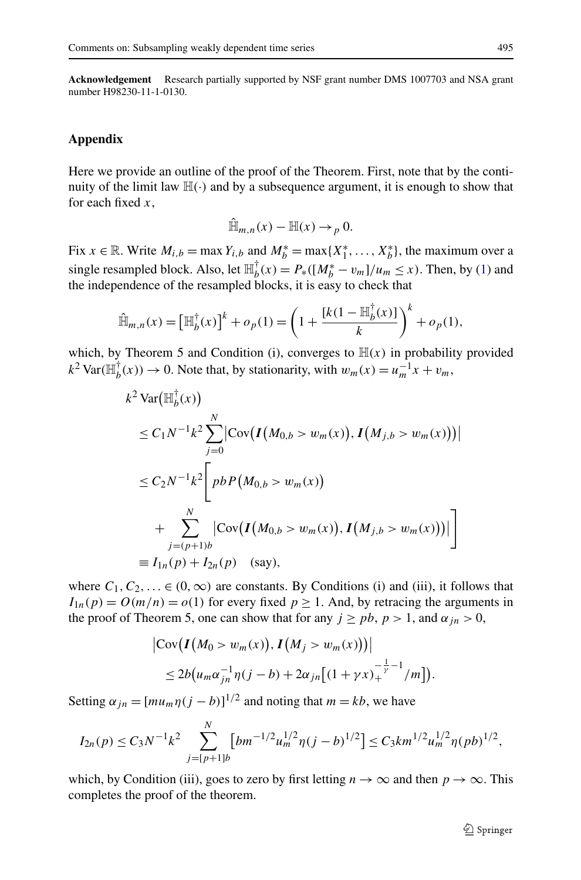<span id="page-4-0"></span>**Acknowledgement** Research partially supported by NSF grant number DMS 1007703 and NSA grant number H98230-11-1-0130.

## **Appendix**

Here we provide an outline of the proof of the Theorem. First, note that by the continuity of the limit law  $\mathbb{H}(\cdot)$  and by a subsequence argument, it is enough to show that for each fixed *x*,

$$
\hat{\mathbb{H}}_{m,n}(x) - \mathbb{H}(x) \to_p 0.
$$

Fix  $x \in \mathbb{R}$ . Write  $M_{i,b} = \max Y_{i,b}$  and  $M_b^* = \max\{X_1^*, \dots, X_b^*\}$ , the maximum over a single resampled block. Also, let  $\mathbb{H}_{b}^{\dagger}(x) = P_*(M_b^* - v_m)/u_m \leq x$ ). Then, by [\(1](#page-1-0)) and the independence of the resampled blocks, it is easy to check that

$$
\hat{\mathbb{H}}_{m,n}(x) = \left[\mathbb{H}_b^{\dagger}(x)\right]^k + o_p(1) = \left(1 + \frac{[k(1 - \mathbb{H}_b^{\dagger}(x)]}{k}\right)^k + o_p(1),
$$

which, by Theorem 5 and Condition (i), converges to  $H(x)$  in probability provided  $k^2 \text{Var}(\mathbb{H}_{b}^{\dagger}(x)) \to 0$ . Note that, by stationarity, with  $w_m(x) = u_m^{-1}x + v_m$ ,

$$
k^{2} \operatorname{Var}(\mathbb{H}_{b}^{\dagger}(x))
$$
  
\n
$$
\leq C_{1} N^{-1} k^{2} \sum_{j=0}^{N} \left| \operatorname{Cov}(\boldsymbol{I}(M_{0,b} > w_{m}(x)), \boldsymbol{I}(M_{j,b} > w_{m}(x))) \right|
$$
  
\n
$$
\leq C_{2} N^{-1} k^{2} \left[ p b P(M_{0,b} > w_{m}(x)) + \sum_{j=(p+1)b}^{N} \left| \operatorname{Cov}(\boldsymbol{I}(M_{0,b} > w_{m}(x)), \boldsymbol{I}(M_{j,b} > w_{m}(x))) \right| \right]
$$
  
\n
$$
\equiv I_{1n}(p) + I_{2n}(p) \quad \text{(say)},
$$

where  $C_1, C_2, \ldots \in (0, \infty)$  are constants. By Conditions (i) and (iii), it follows that  $I_{1n}(p) = O(m/n) = o(1)$  for every fixed  $p \ge 1$ . And, by retracing the arguments in the proof of Theorem 5, one can show that for any  $j \geq pb$ ,  $p > 1$ , and  $\alpha_{jn} > 0$ ,

$$
\begin{aligned} \left| \text{Cov} \big( I \big( M_0 > w_m(x) \big), I \big( M_j > w_m(x) \big) \big) \right| \\ &\leq 2b \big( u_m \alpha_{jn}^{-1} \eta(j-b) + 2\alpha_{jn} \big[ (1 + \gamma x)_+^{-\frac{1}{\gamma} - 1} / m \big] \big). \end{aligned}
$$

Setting  $\alpha_{jn} = [mu_m \eta (j - b)]^{1/2}$  and noting that  $m = kb$ , we have

$$
I_{2n}(p) \leq C_3 N^{-1} k^2 \sum_{j=[p+1]b}^{N} \left[ b m^{-1/2} u_m^{1/2} \eta (j-b)^{1/2} \right] \leq C_3 k m^{1/2} u_m^{1/2} \eta (p b)^{1/2},
$$

which, by Condition (iii), goes to zero by first letting  $n \to \infty$  and then  $p \to \infty$ . This completes the proof of the theorem.